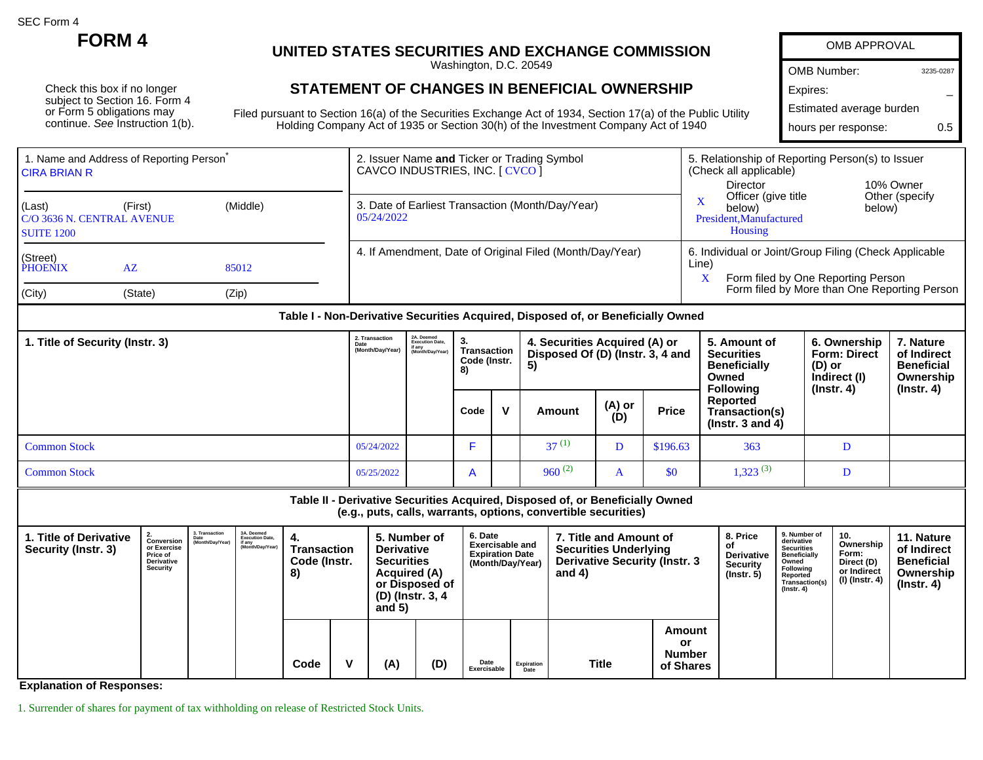SEC Form 4

Check this box if no longer subject to Section 16. Form 4 or Form 5 obligations may continue. See Instruction 1(b).

## **FORM 4 UNITED STATES SECURITIES AND EXCHANGE COMMISSION**

Washington, D.C. 20549

## **STATEMENT OF CHANGES IN BENEFICIAL OWNERSHIP**

Filed pursuant to Section 16(a) of the Securities Exchange Act of 1934, Section 17(a) of the Public Utility Holding Company Act of 1935 or Section 30(h) of the Investment Company Act of 1940

| OMB APPROVAL             |           |
|--------------------------|-----------|
| <b>OMB Number:</b>       | 3235-0287 |
| Expires:                 |           |
| Estimated average burden |           |
| hours per response:      | 05        |
|                          |           |

| <b>CIRA BRIAN R</b>          | 1. Name and Address of Reporting Person           |                | 2. Issuer Name and Ticker or Trading Symbol<br>CAVCO INDUSTRIES, INC. [ CVCO ] | 5. Relationship of Reporting Person(s) to Issuer<br>(Check all applicable)                                                                                        |  |  |  |  |
|------------------------------|---------------------------------------------------|----------------|--------------------------------------------------------------------------------|-------------------------------------------------------------------------------------------------------------------------------------------------------------------|--|--|--|--|
| L(Last)<br><b>SUITE 1200</b> | (First)<br>(Middle)<br>C/O 3636 N. CENTRAL AVENUE |                | 3. Date of Earliest Transaction (Month/Day/Year)<br>05/24/2022                 | Director<br>10% Owner<br>Other (specify)<br>Officer (give title<br>below)<br>below)<br>President, Manufactured<br>Housing                                         |  |  |  |  |
| (Street)<br>PHOENIX<br>City) | AZ<br>(State)                                     | 85012<br>(Zip) | 4. If Amendment, Date of Original Filed (Month/Day/Year)                       | 6. Individual or Joint/Group Filing (Check Applicable<br>Line)<br>Form filed by One Reporting Person<br>$\lambda$<br>Form filed by More than One Reporting Person |  |  |  |  |

## **Table I - Non-Derivative Securities Acquired, Disposed of, or Beneficially Owned**

| 2. Transaction<br>1. Title of Security (Instr. 3)<br>Date<br>(Month/Day/Year) |            | 2A. Deemed<br>Execution Date,<br>if any<br>(Month/Day/Year) | 3.<br>Transaction<br>Code (Instr.<br>8) |  | 4. Securities Acquired (A) or<br>Disposed Of (D) (Instr. 3, 4 and<br>5) |               |              | 5. Amount of<br><b>Securities</b><br><b>Beneficially</b><br>Owned<br><b>Following</b> | 6. Ownership<br><b>Form: Direct</b><br>(D) or<br>Indirect (I)<br>$($ lnstr. 4 $)$ | 7. Nature<br>of Indirect<br><b>Beneficial</b><br>Ownership<br>(Instr. 4) |
|-------------------------------------------------------------------------------|------------|-------------------------------------------------------------|-----------------------------------------|--|-------------------------------------------------------------------------|---------------|--------------|---------------------------------------------------------------------------------------|-----------------------------------------------------------------------------------|--------------------------------------------------------------------------|
|                                                                               |            |                                                             | Code                                    |  | Amount                                                                  | (A) or<br>(D) | <b>Price</b> | <b>Reported</b><br>Transaction(s)<br>$($ lnstr. 3 and 4 $)$                           |                                                                                   |                                                                          |
| <b>Common Stock</b>                                                           | 05/24/2022 |                                                             |                                         |  | $37^{(1)}$                                                              |               | \$196.63     | 363                                                                                   |                                                                                   |                                                                          |
| <b>Common Stock</b>                                                           | 05/25/2022 |                                                             | $\mathsf{A}$                            |  | $960^{(2)}$                                                             | A             | \$0          | 1,323(3)                                                                              |                                                                                   |                                                                          |

**Table II - Derivative Securities Acquired, Disposed of, or Beneficially Owned (e.g., puts, calls, warrants, options, convertible securities)**

| l. Title of Derivative<br>Security (Instr. 3) | Conversion<br>or Exercise<br>Price of<br>Derivative<br>Security |  |  |      |   |     |     |                     | 3. Transaction<br>Date<br>(Month/Day/Year) | 3A. Deemed<br><b>Execution Date,</b><br>if any<br>(Month/Day/Year) | Transaction<br>Code (Instr.<br>8)           |  | and $5)$ | 5. Number of<br><b>Derivative</b><br><b>Securities</b><br><b>Acquired (A)</b><br>or Disposed of<br>(D) (Instr. 3, 4 |  | <b>Exercisable and</b><br><b>Expiration Date</b><br>(Month/Day/Year) | 7. Title and Amount of<br><b>Securities Underlying</b><br><b>Derivative Security (Instr. 3)</b><br>and $4)$ |  | 8. Price<br>οt<br><b>Derivative</b><br><b>Security</b><br>$($ lnstr. 5 $)$ | 9. Number of<br>derivative<br><b>Securities</b><br><b>Beneficially</b><br>Owned<br>Following<br>Reported<br>Transaction(s)<br>$($ Instr. 4 $)$ | 10.<br>Ownership<br>Form:<br>Direct (D)<br>or Indirect<br>(I) (Instr. 4) | 11. Nature<br>of Indirect<br><b>Beneficial</b><br>Ownership<br>$($ lnstr. 4 $)$ |
|-----------------------------------------------|-----------------------------------------------------------------|--|--|------|---|-----|-----|---------------------|--------------------------------------------|--------------------------------------------------------------------|---------------------------------------------|--|----------|---------------------------------------------------------------------------------------------------------------------|--|----------------------------------------------------------------------|-------------------------------------------------------------------------------------------------------------|--|----------------------------------------------------------------------------|------------------------------------------------------------------------------------------------------------------------------------------------|--------------------------------------------------------------------------|---------------------------------------------------------------------------------|
|                                               |                                                                 |  |  | Code | v | (A) | (D) | Date<br>Exercisable | Expiration                                 | <b>Title</b>                                                       | Amount<br>.or<br><b>Number</b><br>of Shares |  |          |                                                                                                                     |  |                                                                      |                                                                                                             |  |                                                                            |                                                                                                                                                |                                                                          |                                                                                 |

**Explanation of Responses:**

1. Surrender of shares for payment of tax withholding on release of Restricted Stock Units.